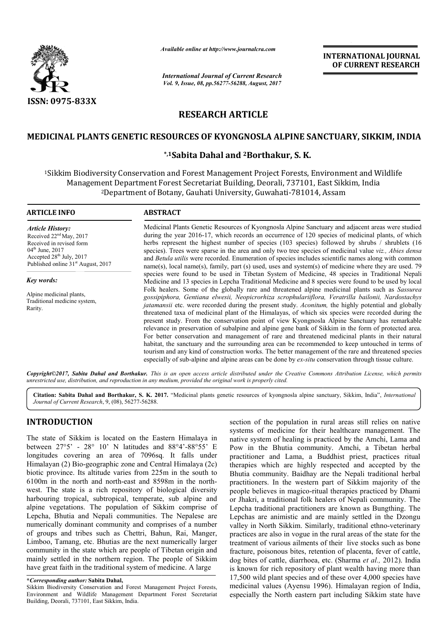

*Available online at http://www.journal http://www.journalcra.com*

*International Journal of Current Research Vol. 9, Issue, 08, pp.56277-56288, August, 2017* **INTERNATIONAL JOURNAL OF CURRENT RESEARCH** 

# **RESEARCH ARTICLE**

# **MEDICINAL PLANTS GENETIC RESOURCES OF KYONGNOSLA ALPINE SANCTUARY, SIKKIM, INDIA ALPINE SANCTUARY,**

## **\*,1Sabita Dahal and 2Borthakur, S. K.**

<sup>1</sup>Sikkim Biodiversity Conservation and Forest Management Project Forests, Environment and Wildlife Management Department Forest Secretariat Building, Deorali, 737101, East Sikkim, India <sup>2</sup>Department of Botany, Gauhati University, Guwahati-781014, Assam

#### **ARTICLE INFO ABSTRACT**

*Article History:* Received 22<sup>nd</sup> May, 2017 Received in revised form 04<sup>th</sup> June, 2017 Accepted  $28<sup>th</sup>$  July, 2017 Published online  $31<sup>st</sup>$  August, 2017

*Key words:*

Alpine medicinal plants, Traditional medicine system, Rarity.

Medicinal Plants Genetic Resources of Kyongnosla Alpine Sanctuary and adjacent areas were studied during the year 2016-17, which records an occurrence of 120 species of medicinal plants, of which herbs represent the highest number of species (103 species) followed by shrubs / shrublets (16 species). Trees were sparse in the area and only two tree species of medicinal value viz., Abies densa and *Betula utilis*  were recorded. Enumeration of species includes scientific names along with common name(s), local name(s), family, part (s) used, uses and system(s) of medicine where they are used. 79 species were found to be used in Tibetan System of Medicine, 48 species in Traditional Nepali species were found to be used in Tibetan System of Medicine, 48 species in Traditional Nepali<br>Medicine and 13 species in Lepcha Traditional Medicine and 8 species were found to be used by local Folk healers. Some of the globally rare and threatened alpine medicinal plants such as Sassurea *gossipiphora, Gentiana elwesii, Neopicrorhiza scrophulariiflora, Veratrilla bailonii, Nardostachys jatamansii* etc. were recorded during the present study. *Aconitum*, the highly potential and globally threatened taxa of medicinal plant of the Himalayas, of which six species were recorded during the present study. From the conservation point of view Kyongnosla Alpine Sanctuary has remarkable relevance in preservation of subalpine and alpine gene bank of Sikkim in the form of protected area. For better conservation and management of rare and threatened medicinal plants in their natural habitat, the sanctuary and the surrounding area can be recommended to keep untouched in terms of tourism and any kind of construction works. The better management of the rare and threatened species especially of sub-alpine and alpine areas can be done by *ex-situ* conse levance in preservation of subalpine and alpine gene bank of Sikkim in the form of protected area.<br>
In better conservation and management of rare and threatened medicinal plants in their natural<br>
abitat, the sanctuary and Medicinal Plants Genetic Resources of Kyongnosla Alpine Sanctuary and adjacent areas were studied during the year 2016-17, which records an occurrence of 120 species of medicinal plants, of which herbs represent the highes threatened taxa of medicinal plant of the Himalayas, of which six species were recorded during present study. From the conservation point of view Kyongnosla Alpine Sanctuary has remarka relevance in preservation of subalpi

Copyright©2017, Sabita Dahal and Borthakur. This is an open access article distributed under the Creative Commons Attribution License, which permits *unrestricted use, distribution, and reproduction in any medium, provided the original work is properly cited.*

Citation: Sabita Dahal and Borthakur, S. K. 2017. "Medicinal plants genetic resources of kyongnosla alpine sanctuary, Sikkim, India", *International Journal of Current Research*, 9, (08), 56277-56288.

# **INTRODUCTION**

The state of Sikkim is located on the Eastern Himalaya in between 27°5' - 28° 10' N latitudes and 88°4' 88°4'-88°55' E longitudes covering an area of 7096sq. It falls under Himalayan (2) Bio-geographic zone and Central Himalaya (2c) biotic province. Its altitude varies from 225m in the south to 6100m in the north and north-east and 8598m in the north west. The state is a rich repository of biological diversity harbouring tropical, subtropical, temperate, sub alpine and alpine vegetations. The population of Sikkim comprise of Lepcha, Bhutia and Nepali communities. The Nepalese are numerically dominant community and comprises of a number of groups and tribes such as Chettri, Bahun, Rai, Manger, Limboo, Tamang, etc. Bhutias are the next numerically larger , community in the state which are people of Tibetan origin and mainly settled in the northern region. The people of Sikkim have great faith in the traditional system of medicine. A large geographic zone and Central Himalaya (2c)<br>altitude varies from 225m in the south to<br>h and north-east and 8598m in the northsection of the population in rural areas still relies on native section of the population in rural areas still relies on native systems of medicine for their healthcare management. The native system of healing is practiced by the Amchi, Lama and Pow in the Bhutia community. Amchi, a Tibetan herbal practitioner and Lama, a Buddhist priest, practices ritual therapies which are highly respected and accepted by the Bhutia community. Baidhay are the Nepali traditional herbal practitioners. In the western part of Sikkim majority of the people believes in magico-ritual therapies practiced by Dhami or Jhakri, a traditional folk healers of Nepali community. The Lepcha traditional practitioners are known as Bungthing. The Lepchas are animistic and are mainly settled in the Dzongu valley in North Sikkim. Similarly, traditional ethno-veterinary practices are also in vogue in the rural areas of the state for the treatment of various ailments of their live stocks such as bone fracture, poisonous bites, retention of placenta, fever of cattle, dog bites of cattle, diarrhoea, etc. (Sharma et al., 2012). India is known for rich repository of plant wealth having more than 17,500 wild plant species and of these over 4,000 species have medicinal values (Ayensu 1996). Himalayan region of India, especially the North eastern part including Sikkim state have i system of healing is practiced by the Amchi, Lama and<br>in the Bhutia community. Amchi, a Tibetan herbal<br>tioner and Lama, a Buddhist priest, practices ritual<br>ies which are highly respected and accepted by the<br>a community. vogue in the rural areas of the state for the sailments of their live stocks such as bone bites, retention of placenta, fever of cattle, diarrhoea, etc. (Sharma *et al.*, 2012). India **EXERCT THE THE SIXT (FOR ALL CONDUCTS (SEE THE SIXT (SEE THE SIXT (SEE THE SIXT (10 URREMY RESEARCH Until 2017)<br>
LE LA ALPINE SANCTUARY, SIKKIM, INDIA<br>
THE LA ALPINE SANCTUARY, SIKKIM, INDIA<br>
that and the Sixter of the Si** 

**<sup>\*</sup>***Corresponding author:* **Sabita Dahal,** 

Sikkim Biodiversity Conservation and Forest Management Project Forests, Environment and Wildlife Management Department Forest Secretariat Building, Deorali, 737101, East Sikkim, India.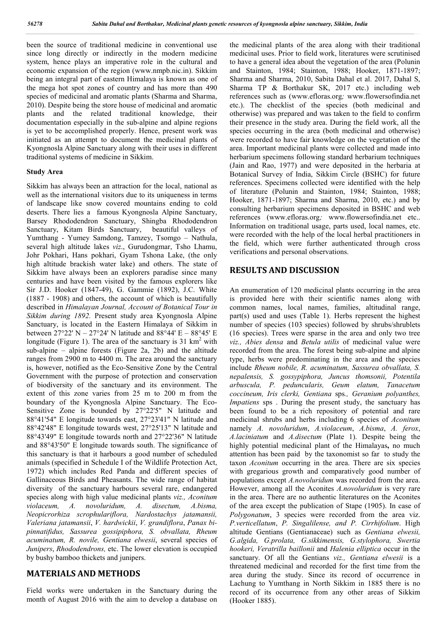been the source of traditional medicine in conventional use since long directly or indirectly in the modern medicine system, hence plays an imperative role in the cultural and economic expansion of the region (www.nmpb.nic.in). Sikkim being an integral part of eastern Himalaya is known as one of the mega hot spot zones of country and has more than 490 species of medicinal and aromatic plants (Sharma and Sharma, 2010). Despite being the store house of medicinal and aromatic plants and the related traditional knowledge, their documentation especially in the sub-alpine and alpine regions is yet to be accomplished properly. Hence, present work was initiated as an attempt to document the medicinal plants of Kyongnosla Alpine Sanctuary along with their uses in different traditional systems of medicine in Sikkim.

#### **Study Area**

Sikkim has always been an attraction for the local, national as well as the international visitors due to its uniqueness in terms of landscape like snow covered mountains ending to cold deserts. There lies a famous Kyongnosla Alpine Sanctuary, Barsey Rhododendron Sanctuary, Shingba Rhododendron Sanctuary, Kitam Birds Sanctuary, beautiful valleys of Yumthang - Yumey Samdong, Tamzey, Tsomgo – Nathula, several high altitude lakes *viz*., Gurudongmar, Tsho Lhamu, Johr Pokhari, Hans pokhari, Gyam Tshona Lake, (the only high altitude brackish water lake) and others. The state of Sikkim have always been an explorers paradise since many centuries and have been visited by the famous explorers like Sir J.D. Hooker (1847-49), G. Gammie (1892), J.C. White (1887 - 1908) and others, the account of which is beautifully described in *Himalayan Journal, Account of Botanical Tour in Sikkim during 1892.* Present study area Kyongnosla Alpine Sanctuary, is located in the Eastern Himalaya of Sikkim in between 27°22' N – 27°24' N latitude and 88°44' E – 88°45' E longitude (Figure 1). The area of the sanctuary is  $31 \text{ km}^2$  with sub-alpine – alpine forests (Figure 2a, 2b) and the altitude ranges from 2900 m to 4400 m. The area around the sanctuary is, however, notified as the Eco-Sensitive Zone by the Central Government with the purpose of protection and conservation of biodiversity of the sanctuary and its environment. The extent of this zone varies from 25 m to 200 m from the boundary of the Kyongnosla Alpine Sanctuary. The Eco-Sensitive Zone is bounded by 27°22'5" N latitude and 88°41'54" E longitude towards east, 27°23'41" N latitude and 88°42'48" E longitude towards west, 27°25'13" N latitude and 88°43'49" E longitude towards north and 27°22'36" N latitude and 88°43'50" E longitude towards south. The significance of this sanctuary is that it harbours a good number of scheduled animals (specified in Schedule I of the Wildlife Protection Act, 1972) which includes Red Panda and different species of Gallinaceous Birds and Pheasants. The wide range of habitat diversity of the sanctuary harbours several rare, endangered species along with high value medicinal plants *viz., Aconitum violaceum, A. novoluridum, A. disectum, A.bisma, Neopicrorhiza scrophulariflora, Nardostachys jatamansii, Valeriana jatamansii*, *V. hardwickii*, *V. grandiflora*, *Panax bipinnatifidus, Sassurea gossipiphora, S. obvallata, Rheum acuminatum, R. novile, Gentiana elwesii*, several species of *Junipers*, *Rhododendrons,* etc. The lower elevation is occupied by bushy bamboo thickets and junipers.

## **MATERIALS AND METHODS**

Field works were undertaken in the Sanctuary during the month of August 2016 with the aim to develop a database on the medicinal plants of the area along with their traditional medicinal uses. Prior to field work, literatures were scrutinised to have a general idea about the vegetation of the area (Polunin and Stainton, 1984; Stainton, 1988; Hooker, 1871-1897; Sharma and Sharma, 2010, Sabita Dahal et al. 2017, Dahal S, Sharma TP & Borthakur SK, 2017 etc.) including web references such as (www.efloras.org*;* www.flowersofindia.net etc.). The checklist of the species (both medicinal and otherwise) was prepared and was taken to the field to confirm their presence in the study area. During the field work, all the species occurring in the area (both medicinal and otherwise) were recorded to have fair knowledge on the vegetation of the area. Important medicinal plants were collected and made into herbarium specimens following standard herbarium techniques (Jain and Rao, 1977) and were deposited in the herbaria at Botanical Survey of India, Sikkim Circle (BSHC) for future references. Specimens collected were identified with the help of literature (Polunin and Stainton, 1984; Stainton, 1988; Hooker, 1871-1897; Sharma and Sharma, 2010, etc.) and by consulting herbarium specimens deposited in BSHC and web references (www.efloras.org*;* www.flowersofindia.net etc.. Information on traditional usage, parts used, local names, etc. were recorded with the help of the local herbal practitioners in the field, which were further authenticated through cross verifications and personal observations.

#### **RESULTS AND DISCUSSION**

An enumeration of 120 medicinal plants occurring in the area is provided here with their scientific names along with common names, local names, families, altitudinal range, part(s) used and uses (Table 1). Herbs represent the highest number of species (103 species) followed by shrubs/shrublets (16 species). Trees were sparse in the area and only two tree *viz., Abies densa* and *Betula utilis* of medicinal value were recorded from the area. The forest being sub-alpine and alpine type, herbs were predominating in the area and the species include *Rheum nobile, R. acuminatum, Sassurea obvallata, S. nepalensis, S. gossypiphora, Juncus thomsonii, Potentila arbuscula, P. peduncularis, Geum elatum, Tanacetum coccineum, Iris clerki, Gentiana* sps*., Geranium polyanthes, Impatiens* sps. During the present study, the sanctuary has been found to be a rich repository of potential and rare medicinal shrubs and herbs including 6 species of *Aconitum* namely *A. novoluridum*, *A.violaceum*, *A.bisma*, *A. ferox*, *A.laciniatum* and *A.disectum* (Plate 1). Despite being the highly potential medicinal plant of the Himalayas**,** no much attention has been paid by the taxonomist so farto study the taxon *Aconitum* occurring in the area. There are six species with gregarious growth and comparatively good number of populations except *A.novoluridum* was recorded from the area. However, among all the Aconites *A.novoluridum* is very rare in the area. There are no authentic literatures on the Aconites of the area except the publication of Stape (1905). In case of *Polygonatum*, 3 species were recorded from the area viz. *P.verticellatum*, *P. Singalilense, and P. Cirrhifolium*. High altitude Gentians (Gentianaceae) such as *Gentiana elwesii, G.algida, G.prolata, G.sikkimensis, G.stylophora, Swertia hookeri, Veratrilla baillonii* and *Halenia elliptica* occur in the sanctuary. Of all the Gentians *viz., Gentiana elwesii* is a threatened medicinal and recorded for the first time from the area during the study. Since its record of occurrence in Lachung to Yumthang in North Sikkim in 1885 there is no record of its occurrence from any other areas of Sikkim (Hooker 1885).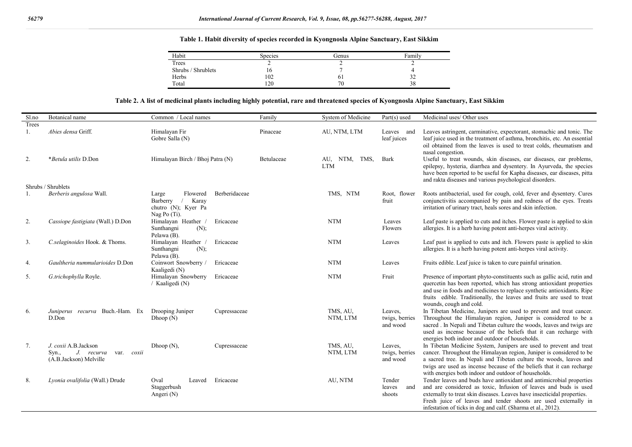### **Table 1. Habit diversity of species recorded in Kyongnosla Alpine Sanctuary, East Sikkim**

| Habit              | <b>Species</b> | Genus | Family |
|--------------------|----------------|-------|--------|
| Trees              |                |       |        |
| Shrubs / Shrublets | 10             |       |        |
| Herbs              | 102            | ΟI    | ے د    |
| Total              | 120            | 70    | 38     |

#### **Table 2. A list of medicinal plants including highly potential, rare and threatened species of Kyongnosla Alpine Sanctuary, East Sikkim**

| Sl.no                | Botanical name                                                                      | Common / Local names                                                                           | Family     | System of Medicine          | $Part(s)$ used                        | Medicinal uses/Other uses                                                                                                                                                                                                                                                                                                                             |
|----------------------|-------------------------------------------------------------------------------------|------------------------------------------------------------------------------------------------|------------|-----------------------------|---------------------------------------|-------------------------------------------------------------------------------------------------------------------------------------------------------------------------------------------------------------------------------------------------------------------------------------------------------------------------------------------------------|
| Trees                |                                                                                     |                                                                                                |            |                             |                                       |                                                                                                                                                                                                                                                                                                                                                       |
| 1.                   | Abies densa Griff.                                                                  | Himalayan Fir<br>Gobre Salla (N)                                                               | Pinaceae   | AU, NTM, LTM                | Leaves and<br>leaf juices             | Leaves astringent, carminative, expectorant, stomachic and tonic. The<br>leaf juice used in the treatment of asthma, bronchitis, etc. An essential<br>oil obtained from the leaves is used to treat colds, rheumatism and<br>nasal congestion.                                                                                                        |
| 2.                   | *Betula utilis D.Don                                                                | Himalayan Birch / Bhoj Patra (N)                                                               | Betulaceae | AU, NTM, TMS,<br><b>LTM</b> | Bark                                  | Useful to treat wounds, skin diseases, ear diseases, ear problems,<br>epilepsy, hysteria, diarrhea and dysentery. In Ayurveda, the species<br>have been reported to be useful for Kapha diseases, ear diseases, pitta<br>and rakta diseases and various psychological disorders.                                                                      |
|                      | Shrubs / Shrublets                                                                  |                                                                                                |            |                             |                                       |                                                                                                                                                                                                                                                                                                                                                       |
| $\mathbf{1}_{\cdot}$ | Berberis angulosa Wall.                                                             | Berberidaceae<br>Flowered<br>Large<br>Barberry<br>Karay<br>chutro (N); Kyer Pa<br>Nag Po (Ti). |            | TMS, NTM                    | Root, flower<br>fruit                 | Roots antibacterial, used for cough, cold, fever and dysentery. Cures<br>conjunctivitis accompanied by pain and redness of the eyes. Treats<br>irritation of urinary tract, heals sores and skin infection.                                                                                                                                           |
| 2.                   | Cassiope fastigiata (Wall.) D.Don                                                   | Himalayan Heather /<br>Ericaceae<br>Sunthangni<br>$(N)$ :<br>Pelawa (B).                       |            | <b>NTM</b>                  | Leaves<br>Flowers                     | Leaf paste is applied to cuts and itches. Flower paste is applied to skin<br>allergies. It is a herb having potent anti-herpes viral activity.                                                                                                                                                                                                        |
| 3.                   | C.selaginoides Hook. & Thoms.                                                       | Himalayan Heather /<br>Ericaceae<br>Sunthangni<br>(N);<br>Pelawa (B).                          |            | <b>NTM</b>                  | Leaves                                | Leaf past is applied to cuts and itch. Flowers paste is applied to skin<br>allergies. It is a herb having potent anti-herpes viral activity.                                                                                                                                                                                                          |
| 4.                   | Gaultheria nummularioides D.Don                                                     | Coinwort Snowberry /<br>Ericaceae<br>Kaaligedi (N)                                             |            | <b>NTM</b>                  | Leaves                                | Fruits edible. Leaf juice is taken to cure painful urination.                                                                                                                                                                                                                                                                                         |
| 5.                   | G.trichophylla Royle.                                                               | Himalayan Snowberry<br>Ericaceae<br>/ Kaaligedi (N)                                            |            | <b>NTM</b>                  | Fruit                                 | Presence of important phyto-constituents such as gallic acid, rutin and<br>quercetin has been reported, which has strong antioxidant properties<br>and use in foods and medicines to replace synthetic antioxidants. Ripe<br>fruits edible. Traditionally, the leaves and fruits are used to treat<br>wounds, cough and cold.                         |
| 6.                   | Juniperus recurva Buch.-Ham. Ex<br>D.Don                                            | Drooping Juniper<br>Cupressaceae<br>Dhoop(N)                                                   |            | TMS, AU,<br>NTM, LTM        | Leaves.<br>twigs, berries<br>and wood | In Tibetan Medicine, Junipers are used to prevent and treat cancer.<br>Throughout the Himalayan region, Juniper is considered to be a<br>sacred . In Nepali and Tibetan culture the woods, leaves and twigs are<br>used as incense because of the beliefs that it can recharge with<br>energies both indoor and outdoor of households.                |
| 7.                   | J. coxii A.B.Jackson<br>J. recurva<br>Syn.,<br>var. coxii<br>(A.B.Jackson) Melville | Dhoop $(N)$ ,<br>Cupressaceae                                                                  |            | TMS, AU,<br>NTM, LTM        | Leaves,<br>twigs, berries<br>and wood | In Tibetan Medicine System, Junipers are used to prevent and treat<br>cancer. Throughout the Himalayan region, Juniper is considered to be<br>a sacred tree. In Nepali and Tibetan culture the woods, leaves and<br>twigs are used as incense because of the beliefs that it can recharge<br>with energies both indoor and outdoor of households.     |
| 8.                   | Lyonia ovalifolia (Wall.) Drude                                                     | Oval<br>Ericaceae<br>Leaved<br>Staggerbush<br>Angeri (N)                                       |            | AU, NTM                     | Tender<br>and<br>leaves<br>shoots     | Tender leaves and buds have antioxidant and antimicrobial properties<br>and are considered as toxic, Infusion of leaves and buds is used<br>externally to treat skin diseases. Leaves have insecticidal properties.<br>Fresh juice of leaves and tender shoots are used externally in<br>infestation of ticks in dog and calf. (Sharma et al., 2012). |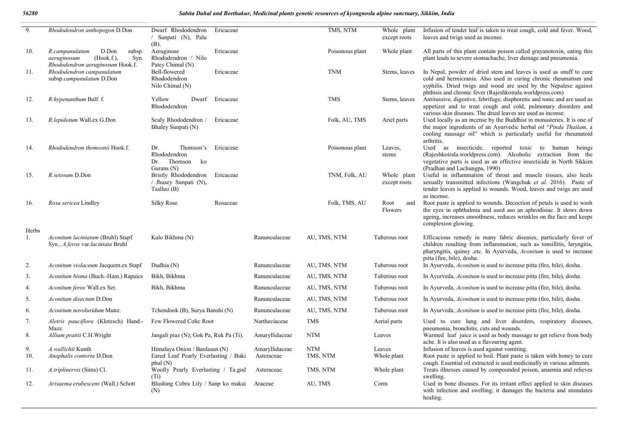| 9.          | Rhododendron anthopogon D.Don                                                             | Dwarf Rhododendron<br>Ericaceae<br>/ Sunpati (N), Palu<br>(B).                        |                              | TMS, NTM               | Whole plant<br>except roots | Infusion of tender leaf is taken to treat cough, cold and fever. Wood,<br>leaves and twigs used as incense.                                                                                                                                                            |
|-------------|-------------------------------------------------------------------------------------------|---------------------------------------------------------------------------------------|------------------------------|------------------------|-----------------------------|------------------------------------------------------------------------------------------------------------------------------------------------------------------------------------------------------------------------------------------------------------------------|
| 10.         | R.campanulatum<br>D.Don<br>subsp.<br>(Hook.f.),<br>Syn.<br>aeruginosum                    | Ericaceae<br>Aeruginose<br>Rhododendron / Nilo                                        |                              | Poisonous plant        | Whole plant                 | All parts of this plant contain poison called grayanotoxin, eating this<br>plant leads to severe stomachache, liver damage and pneumonia.                                                                                                                              |
| 11.         | Rhododendron aeruginosum Hook.f.<br>Rhododendron campanulatum<br>subsp.campanulatum D.Don | Patey Chimal (N)<br>Bell-flowered<br>Ericaceae<br>Rhododendron<br>Nilo Chimal (N)     |                              | <b>TNM</b>             | Stems, leaves               | In Nepal, powder of dried stem and leaves is used as snuff to cure<br>cold and hermicrania. Also used in curing chronic rheumatism and<br>syphilis. Dried twigs and wood are used by the Nepalese against<br>phthisis and chronic fever (Rajeshkoirala.worldpress.com) |
| 12.         | R.hypenanthum Balf. f.                                                                    | Yellow<br>Dwarf<br>Ericaceae<br>Rhododendron                                          |                              | <b>TMS</b>             | Stems, leaves               | Antitussive, digestive, febrifuge, diaphoretic and tonic and are used as<br>appetizer and to treat cough and cold, pulmonary disorders and<br>various skin diseases. The dried leaves are used as incense.                                                             |
| 13.         | R.lepidotum Wall.ex G.Don                                                                 | Ericaceae<br>Scaly Rhododendron /<br>Bhaley Sunpati (N)                               |                              | Folk, AU, TMS          | Ariel parts                 | Used locally as an incense by the Buddhist in monasteries. It is one of<br>the major ingredients of an Ayurvedic herbal oil "Pinda Thailam, a<br>cooling massage oil" which is particularly useful for rheumatoid<br>arthritis.                                        |
| 14.         | Rhododendron thomsonii Hook.f.                                                            | Thomson's<br>Ericaceae<br>Dr.<br>Rhododendron<br>Dr. Thomson ko<br>Gurans $(N)$       |                              | Poisonous plant        | Leaves,<br>stems            | Used as insecticide, reported toxic to human beings<br>(Rajeshkoirala.worldpress.com). Alcoholic extraction from the<br>vegetative parts is used as an effective insecticide in North Sikkim<br>(Pradhan and Lachungpa, 1990)                                          |
| 15.         | R.setosum D.Don                                                                           | Bristly Rhododendron<br>Ericaceae<br>/ Jhusey Sunpati (N),<br>T <sub>sal</sub> uo (B) |                              | TNM, Folk, AU          | Whole plant<br>except roots | Useful in inflammation of throat and muscle tissues, also heals<br>sexually transmitted infections (Wangchuk et al. 2016). Paste of<br>tender leaves is applied to wounds. Wood, leaves and twigs are used<br>as incense.                                              |
| 16.         | Rosa sericea Lindley                                                                      | Silky Rose<br>Rosaceae                                                                |                              | Folk, TMS, AU          | Root<br>and<br>Flowers      | Root paste is applied to wounds. Decoction of petals is used to wash<br>the eyes in ophthalmia and used aso an aphrodisiac. It slows down<br>ageing, increases smoothness, reduces wrinkles on the face and keeps<br>complexion glowing.                               |
| Herbs<br>1. | Aconitum laciniatum (Bruhl) Stapf.<br>Syn., A.ferox var.laciniata Bruhl                   | Kalo Bikhma (N)                                                                       | Ranunculaceae                | AU, TMS, NTM           | Tuberous root               | Efficacious remedy in many fabric diseases, particularly fever of<br>children resulting from inflammation, such as tonsillitis, laryngitis,<br>pharyngitis, quinsy , etc. In Ayurveda, <i>Aconitum</i> is used to increase<br>pitta (fire, bile), dosha.               |
| 2.          | Aconitum violaceum Jacquem.ex Stapf                                                       | Dudhia (N)                                                                            | Ranunculaceae                | AU, TMS, NTM           | Tuberous root               | In Ayurveda, <i>Aconitum</i> is used to increase pitta (fire, bile), dosha.                                                                                                                                                                                            |
| 3.          | Aconitum bisma (Buch.-Ham.) Rapaics                                                       | Bikh, Bikhma                                                                          | Ranunculaceae                | AU, TMS, NTM           | Tuberous root               | In Ayurveda, <i>Aconitum</i> is used to increase pitta (fire, bile), dosha.                                                                                                                                                                                            |
| 4.          | Aconitum ferox Wall.ex Ser.                                                               | Bikh, Bikhma                                                                          | Ranunculaceae                | AU, TMS, NTM           | Tuberous root               | In Ayurveda, <i>Aconitum</i> is used to increase pitta (fire, bile), dosha.                                                                                                                                                                                            |
| 5.          | Aconitum disectum D.Don                                                                   |                                                                                       | Ranunculaceae                | AU, TMS, NTM           | Tuberous root               | In Ayurveda, <i>Aconitum</i> is used to increase pitta (fire, bile), dosha.                                                                                                                                                                                            |
| 6.          | Aconitum novoluridum Munz.                                                                | Tchendook (B), Surya Banshi (N)                                                       | Ranunculaceae                | AU, TMS, NTM           | Tuberous root               | In Ayurveda, <i>Aconitum</i> is used to increase pitta (fire, bile), dosha.                                                                                                                                                                                            |
| 7.          | Aletris pauciflora (Klotzsch) Hand.-<br>Mazz.                                             | Few Flowered Colic Root                                                               | Nartheciaceae                | <b>TMS</b>             | Aerial parts                | Used to cure lung and liver disorders, respiratory diseases,<br>pneumonia, bronchitis, cuts and wounds.                                                                                                                                                                |
| 8.          | Allium prattii C.H.Wright                                                                 | Jangali piaz (N); Gok Pa, Ruk Pa (Ti).                                                | Amaryllidaceae               | <b>NTM</b>             | Leaves                      | Warmed leaf juice is used as body massage to get relieve from body                                                                                                                                                                                                     |
| 9.<br>10.   | A.wallichii Kunth<br>Anaphalis contorta D.Don                                             | Himalaya Onion / Banlasun (N)<br>Eared Leaf Pearly Everlasting / Buki<br>phul (N)     | Amaryllidaceae<br>Asteraceae | <b>NTM</b><br>TMS, NTM | Leaves<br>Whole plant       | ache. It is also used as a flavouring agent.<br>Infusion of leaves is used against vomiting.<br>Root paste is applied to boil. Plant paste is taken with honey to cure<br>cough. Essential oil extracted is used medicinally in various ailments.                      |
| 11.         | A.triplinervis (Sims) Cl.                                                                 | Woolly Pearly Everlasting / Ta.god                                                    | Asteraceae                   | TMS, NTM               | Whole plant                 | Treats illnesses caused by compounded poison, anaemia and relieves                                                                                                                                                                                                     |
| 12.         | Arisaema erubescens (Wall.) Schott                                                        | (Ti)<br>Blushing Cobra Lily / Sanp ko makai<br>(N)                                    | Araceae                      | AU, TMS                | Corm                        | swelling.<br>Used in bone diseases. For its irritant effect applied to skin diseases<br>with infection and swelling; it damages the bacteria and stimulates<br>healing.                                                                                                |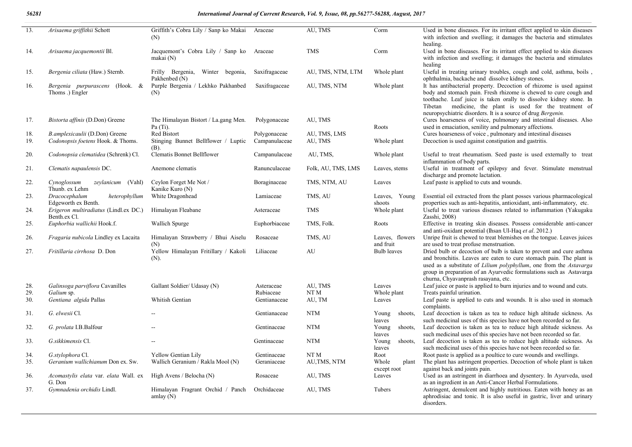| 13.        | Arisaema griffithii Schott                            | Griffith's Cobra Lily / Sanp ko Makai<br>(N)           | Araceae                 | AU, TMS                    | Corm                          | Used in bone diseases. For its irritant effect applied to skin diseases<br>with infection and swelling; it damages the bacteria and stimulates<br>healing.                                                                                                                                                                                |
|------------|-------------------------------------------------------|--------------------------------------------------------|-------------------------|----------------------------|-------------------------------|-------------------------------------------------------------------------------------------------------------------------------------------------------------------------------------------------------------------------------------------------------------------------------------------------------------------------------------------|
| 14.        | Arisaema jacquemontii Bl.                             | Jacquemont's Cobra Lily / Sanp ko Araceae<br>makai (N) |                         | <b>TMS</b>                 | Corm                          | Used in bone diseases. For its irritant effect applied to skin diseases<br>with infection and swelling; it damages the bacteria and stimulates<br>healing                                                                                                                                                                                 |
| 15.        | Bergenia ciliata (Haw.) Sternb.                       | Frilly Bergenia, Winter begonia,<br>Pakhenbed (N)      | Saxifragaceae           | AU, TMS, NTM, LTM          | Whole plant                   | Useful in treating urinary troubles, cough and cold, asthma, boils,<br>ophthalmia, backache and dissolve kidney stones.                                                                                                                                                                                                                   |
| 16.        | Bergenia purpurascens (Hook. &<br>Thoms.) Engler      | Purple Bergenia / Lekhko Pakhanbed<br>(N)              | Saxifragaceae           | AU, TMS, NTM               | Whole plant                   | It has antibacterial property. Decoction of rhizome is used against<br>body and stomach pain. Fresh rhizome is chewed to cure cough and<br>toothache. Leaf juice is taken orally to dissolve kidney stone. In<br>Tibetan medicine, the plant is used for the treatment of<br>neuropsychiatric disorders. It is a source of drug Bergenin. |
| 17.        | Bistorta affinis (D.Don) Greene                       | The Himalayan Bistort / La.gang Men.<br>Pa (Ti).       | Polygonaceae            | AU, TMS                    | Roots                         | Cures hoarseness of voice, pulmonary and intestinal diseases. Also<br>used in emaciation, senility and pulmonary affections.                                                                                                                                                                                                              |
| 18.        | B.amplexicaulii (D.Don) Greene                        | Red Bistort                                            | Polygonaceae            | AU, TMS, LMS               |                               | Cures hoarseness of voice, pulmonary and intestinal diseases                                                                                                                                                                                                                                                                              |
| 19.        | Codonopsis foetens Hook. & Thoms.                     | Stinging Bunnet Bellflower / Luptic<br>(B).            | Campanulaceae           | AU, TMS                    | Whole plant                   | Decoction is used against constipation and gastritis.                                                                                                                                                                                                                                                                                     |
| 20.        | Codonopsia clematidea (Schrenk) Cl.                   | Clematis Bonnet Bellflower                             | Campanulaceae           | AU, TMS,                   | Whole plant                   | Useful to treat rheumatism. Seed paste is used externally to treat<br>inflammation of body parts.                                                                                                                                                                                                                                         |
| 21.        | Clematis napaulensis DC.                              | Anemone clematis                                       | Ranunculaceae           | Folk, AU, TMS, LMS         | Leaves, stems                 | Useful in treatment of epilepsy and fever. Stimulate menstrual<br>discharge and promote lactation.                                                                                                                                                                                                                                        |
| 22.        | Cynoglossum<br>zeylanicum (Vahl)<br>Thunb. ex Lehm    | Ceylon Forget Me Not /<br>Kanike Kuro (N)              | Boraginaceae            | TMS, NTM, AU               | Leaves                        | Leaf paste is applied to cuts and wounds.                                                                                                                                                                                                                                                                                                 |
| 23.        | Dracocephalum<br>heterophyllum<br>Edgeworth ex Benth. | White Dragonhead                                       | Lamiaceae               | TMS, AU                    | Leaves, Young<br>shoots       | Essential oil extracted from the plant posses various pharmacological<br>properties such as anti-hepatitis, antioxidant, anti-inflammatory, etc.                                                                                                                                                                                          |
| 24.        | Erigeron multiradiatus (Lindl.ex DC.)<br>Benth.ex Cl. | Himalayan Fleabane                                     | Asteraceae              | <b>TMS</b>                 | Whole plant                   | Useful to treat various diseases related to inflammation (Yakugaku<br>Zasshi, 2008)                                                                                                                                                                                                                                                       |
| 25.        | Euphorbia wallichii Hook.f.                           | Wallich Spurge                                         | Euphorbiaceae           | TMS, Folk.                 | Roots                         | Effective in treating skin diseases. Possess considerable anti-cancer<br>and anti-oxidant potential (Ihsan UI-Haq et al. 2012.)                                                                                                                                                                                                           |
| 26.        | Fragaria nubicola Lindley ex Lacaita                  | Himalayan Strawberry / Bhui Aiselu<br>(N)              | Rosaceae                | TMS, AU                    | Leaves, flowers<br>and fruit  | Unripe fruit is chewed to treat blemishes on the tongue. Leaves juices<br>are used to treat profuse menstruation.                                                                                                                                                                                                                         |
| 27.        | Fritillaria cirrhosa D. Don                           | Yellow Himalayan Fritillary / Kakoli<br>$(N)$ .        | Liliaceae               | AU                         | <b>Bulb</b> leaves            | Dried bulb or decoction of bulb is taken to prevent and cure asthma<br>and bronchitis. Leaves are eaten to cure stomach pain. The plant is<br>used as a substitute of Lilium polyphyllum, one from the Astavarga<br>group in preparation of an Ayurvedic formulations such as Astavarga<br>churna, Chyavanprash rasayana, etc.            |
| 28.<br>29. | Galinsoga parviflora Cavanilles<br>Galium sp.         | Gallant Soldier/ Udasay (N)                            | Asteraceae<br>Rubiaceae | AU, TMS<br>NT <sub>M</sub> | Leaves<br>Whole plant         | Leaf juice or paste is applied to burn injuries and to wound and cuts.<br>Treats painful urination.                                                                                                                                                                                                                                       |
| 30.        | Gentiana algida Pallas                                | Whitish Gentian                                        | Gentianaceae            | AU, TM                     | Leaves                        | Leaf paste is applied to cuts and wounds. It is also used in stomach<br>complaints.                                                                                                                                                                                                                                                       |
| 31.        | G. elwesii Cl.                                        |                                                        | Gentianaceae            | <b>NTM</b>                 | shoots,<br>Young              | Leaf decoction is taken as tea to reduce high altitude sickness. As<br>such medicinal uses of this species have not been recorded so far.                                                                                                                                                                                                 |
| 32.        | G. prolata I.B.Balfour                                |                                                        | Gentinaceae             | <b>NTM</b>                 | leaves<br>Young<br>shoots,    | Leaf decoction is taken as tea to reduce high altitude sickness. As<br>such medicinal uses of this species have not been recorded so far.                                                                                                                                                                                                 |
| 33.        | G.sikkimensis Cl.                                     |                                                        | Gentinaceae             | <b>NTM</b>                 | leaves<br>Young<br>shoots,    | Leaf decoction is taken as tea to reduce high altitude sickness. As                                                                                                                                                                                                                                                                       |
|            |                                                       |                                                        |                         |                            | leaves                        | such medicinal uses of this species have not been recorded so far.                                                                                                                                                                                                                                                                        |
| 34.        | G.stylophora Cl.                                      | Yellow Gentian Lily                                    | Gentinaceae             | NT M                       | Root                          | Root paste is applied as a poultice to cure wounds and swellings.                                                                                                                                                                                                                                                                         |
| 35.        | Geranium wallichianum Don ex. Sw.                     | Wallich Geranium / Rakla Mool (N)                      | Geraniaceae             | AU, TMS, NTM               | Whole<br>plant<br>except root | The plant has astringent properties. Decoction of whole plant is taken<br>against back and joints pain.                                                                                                                                                                                                                                   |
| 36.        | Acomastylis elata var. elata Wall. ex<br>G. Don       | High Avens / Belocha (N)                               | Rosaceae                | AU, TMS                    | Leaves                        | Used as an astringent in diarrhoea and dysentery. In Ayurveda, used<br>as an ingredient in an Anti-Cancer Herbal Formulations.                                                                                                                                                                                                            |
| 37.        | Gymnadenia orchidis Lindl.                            | Himalayan Fragrant Orchid / Panch<br>amlay $(N)$       | Orchidaceae             | AU, TMS                    | Tubers                        | Astringent, demulcent and highly nutritious. Eaten with honey as an<br>aphrodisiac and tonic. It is also useful in gastric, liver and urinary<br>disorders.                                                                                                                                                                               |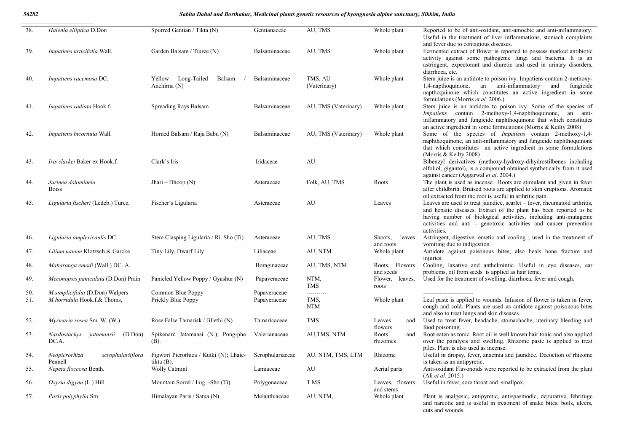#### *56282 Sabita Dahal and Borthakur, Medicinal plants genetic resources of kyongnosla alpine sanctuary, Sikkim, India*

| 38.        | Halenia elliptica D.Don                                               | Spurred Gentian / Tikta (N)                                              | Gentianaceae                 | AU, TMS                          | Whole plant                    | Reported to be of anti-oxidant, anti-amoebic and anti-inflammatory.<br>Useful in the treatment of liver inflammations, stomach complaints                                                                                                                                                              |
|------------|-----------------------------------------------------------------------|--------------------------------------------------------------------------|------------------------------|----------------------------------|--------------------------------|--------------------------------------------------------------------------------------------------------------------------------------------------------------------------------------------------------------------------------------------------------------------------------------------------------|
| 39.        | <i>Impatiens urticifolia</i> Wall.                                    | Garden Balsam / Tiuree (N)                                               | Balsaminaceae                | AU, TMS                          | Whole plant                    | and fever due to contagious diseases.<br>Fermented extract of flower is reported to possess marked antibiotic<br>activity against some pathogenic fungi and bacteria. It is an<br>astringent, expectorant and diuretic and used in urinary disorders,                                                  |
| 40.        | Impatiens racemosa DC.                                                | Long-Tailed<br>Balsam<br>Yellow<br>Anchima (N)                           | Balsaminaceae                | TMS, AU<br>(Vaterinary)          | Whole plant                    | diarrhoea, etc.<br>Stem juice is an antidote to poison ivy. Impatiens contain 2-methoxy-<br>1,4-napthoquinone, an anti-inflammatory<br>and<br>fungicide<br>napthoquinone which constitutes an active ingredient in some                                                                                |
| 41.        | Impatiens radiata Hook.f.                                             | Spreading Rays Balsam                                                    | Balsaminaceae                | AU, TMS (Vaterinary)             | Whole plant                    | formulations (Morris et al. 2006.).<br>Stem juice is an antidote to poison ivy. Some of the species of<br>Impatiens contain 2-methoxy-1,4-naphthoquinone, an anti-<br>inflammatory and fungicide naphthoquinone that which constitutes                                                                 |
| 42.        | Impatiens bicornuta Wall.                                             | Horned Balsam / Raja Babu (N)                                            | Balsaminaceae                | AU, TMS (Vaterinary)             | Whole plant                    | an active ingredient in some formulations (Morris $&$ Keilty 2008)<br>Some of the species of <i>Impatiens</i> contain 2-methoxy-1,4-<br>naphthoquinone, an anti-inflammatory and fungicide naphthoquinone<br>that which constitutes an active ingredient in some formulations                          |
| 43.        | Iris clarkei Baker ex Hook.f.                                         | Clark's Iris                                                             | Iridaceae                    | AU                               |                                | (Morris & Keilty 2008)<br>Bibenzyl derivatives (methoxy-hydroxy-dihydrostilbenes including<br>alfoliol, gigantol), is a compound obtained synthetically from it used<br>against cancer (Aggarwal et al. 2004.)                                                                                         |
| 44.        | Jurinea dolomiaeia<br><b>Boiss</b>                                    | Jhari – Dhoop $(N)$                                                      | Asteraceae                   | Folk, AU, TMS                    | Roots                          | The plant is used as incense. Roots are stimulant and given in fever<br>after childbirth. Bruised roots are applied to skin eruptions. Aromatic<br>oil extracted from the root is useful in arthritic pain.                                                                                            |
| 45.        | Ligularia fischeri (Ledeb.) Turcz.                                    | Fischer's Ligularia                                                      | Asteraceae                   | AU                               | Leaves                         | Leaves are used to treat jaundice, scarlet - fever, rheumatoid arthritis,<br>and hepatic diseases. Extract of the plant has been reported to be<br>having number of biological activities, including anti-mutagenic<br>activities and anti - genotoxic activities and cancer prevention<br>activities. |
| 46.        | Ligularia amplexicaulis DC.                                           | Stem Clasping Ligularia / Ri. Sho (Ti).                                  | Asteraceae                   | AU, TMS                          | leaves<br>Shoots,<br>and roots | Astringent, digestive, emetic and cooling; used in the treatment of<br>vomiting due to indigestion.                                                                                                                                                                                                    |
| 47.        | Lilium nanum Klotzsch & Garcke                                        | Tiny Lily, Dwarf Lily                                                    | Liliaceae                    | AU, NTM                          | Whole plant                    | Antidote against poisonous bites; also heals bone fracture and<br>injuries.                                                                                                                                                                                                                            |
| 48.        | Maharanga emodi (Wall.) DC. A.                                        |                                                                          | Boraginaceae                 | AU, TMS, NTM                     | Roots, Flowers<br>and seeds    | Cooling, laxative and anthelmintic. Useful in eye diseases, ear<br>problems, oil from seeds is applied as hair tonic.                                                                                                                                                                                  |
| 49.        | Meconopsis paniculata (D.Don) Prain                                   | Panicled Yellow Poppy / Gyashur (N)                                      | Papaveraceae                 | NTM,<br><b>TMS</b>               | Flower, leaves,<br>roots       | Used for the treatment of swelling, diarrhoea, fever and cough.                                                                                                                                                                                                                                        |
| 50.<br>51. | <i>M.simplicifolia</i> (D.Don) Walpers<br>M.horridula Hook.f.& Thoms, | Common Blue Poppy<br>Prickly Blue Poppy                                  | Papaveraceae<br>Papaveraceae | ----------<br>TMS,<br><b>NTM</b> | Whole plant                    | -----------------------<br>Leaf paste is applied to wounds. Infusion of flower is taken in fever,<br>cough and cold. Plants are used as antidote against poisonous bites<br>and also to treat lungs and skin diseases.                                                                                 |
| 52.        | Myricaria rosea Sm. W. (W.)                                           | Rose False Tamarisk / Jillethi (N)                                       | Tamaricaceae                 | <b>TMS</b>                       | Leaves<br>and<br>flowers       | Used to treat fever, headache, stomachache, uterinary bleeding and<br>food poisoning                                                                                                                                                                                                                   |
| 53.        | Nardostachys jatamansii (D.Don)<br>DC.A.                              | Spikenard Jatamansi (N.); Pong-phe<br>(B).                               | Valerianaceae                | AU, TMS, NTM                     | Roots<br>and<br>rhizomes       | Root eaten as tonic. Root oil is well known hair tonic and also applied<br>over the paralysis and swelling. Rhizome paste is applied to treat<br>piles. Plant is also used as incense.                                                                                                                 |
| 54.        | scrophulariiflora<br>Neopicrorhiza<br>Pennell                         | Figwort Picrorhiza / Kutki (N); Lhaie- Scrophulariaceae<br>tikta $(B)$ . |                              | AU, NTM, TMS, LTM                | Rhizome                        | Useful in dropsy, fever, anaemia and jaundice. Decoction of rhizome<br>is taken as an antipyretic.                                                                                                                                                                                                     |
| 55.        | Nepeta floccosa Benth.                                                | <b>Wolly Catmint</b>                                                     | Lamiaceae                    | AU                               | Aerial parts                   | Anti-oxidant Flavonoids were reported to be extracted from the plant<br>(Ali et al. 2015.)                                                                                                                                                                                                             |
| 56.        | Oxyria digyna (L.) Hill                                               | Mountain Sorrel / Lug. -Sho (Ti).                                        | Polygonaceae                 | T MS                             | Leaves, flowers<br>and stems   | Useful in fever, sore throat and smallpox.                                                                                                                                                                                                                                                             |
| 57.        | Paris polyphylla Sm.                                                  | Himalayan Paris / Satua (N)                                              | Melanthiaceae                | AU, NTM,                         | Whole plant                    | Plant is analgesic, antipyretic, antispasmodic, depurative, febrifuge<br>and narcotic and is useful in treatment of snake bites, boils, ulcers,<br>cuts and wounds.                                                                                                                                    |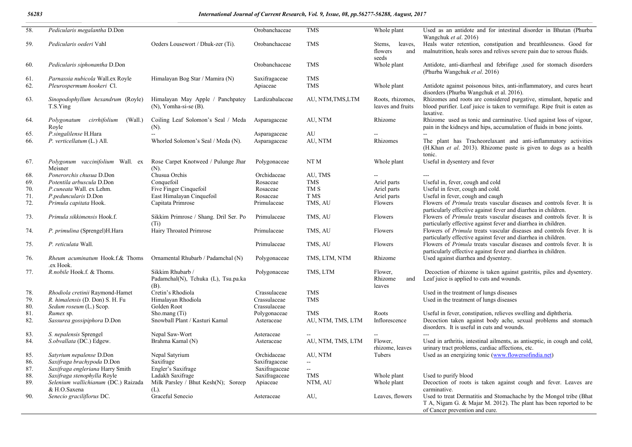#### *56283 International Journal of Current Research, Vol. 9, Issue, 08, pp.56277-56288, August, 2017*

| 58.        | Pedicularis megalantha D.Don                                  |                                                                 | Orobanchaceae             | <b>TMS</b>               | Whole plant                                  | Used as an antidote and for intestinal disorder in Bhutan (Phurba<br>Wangchuk et al. 2016)                                                                                |
|------------|---------------------------------------------------------------|-----------------------------------------------------------------|---------------------------|--------------------------|----------------------------------------------|---------------------------------------------------------------------------------------------------------------------------------------------------------------------------|
| 59.        | Pedicularis oederi Vahl                                       | Oeders Lousewort / Dhuk-zer (Ti).                               | Orobanchaceae             | <b>TMS</b>               | leaves,<br>Stems,<br>flowers<br>and<br>seeds | Heals water retention, constipation and breathlessness. Good for<br>malnutrition, heals sores and relives severe pain due to serous fluids.                               |
| 60.        | Pedicularis siphonantha D.Don                                 |                                                                 | Orobanchaceae             | <b>TMS</b>               | Whole plant                                  | Antidote, anti-diarrheal and febrifuge , used for stomach disorders<br>(Phurba Wangchuk et al. 2016)                                                                      |
| 61.<br>62. | Parnassia nubicola Wall.ex Royle<br>Pleurospermum hookeri Cl. | Himalayan Bog Star / Mamira (N)                                 | Saxifragaceae<br>Apiaceae | <b>TMS</b><br><b>TMS</b> | Whole plant                                  | Antidote against poisonous bites, anti-inflammatory, and cures heart<br>disorders (Phurba Wangchuk et al. 2016).                                                          |
| 63.        | Sinopodophyllum hexandrum (Royle)<br>T.S.Ying                 | Himalayan May Apple / Panchpatey<br>$(N)$ , Yomha-si-se $(B)$ . | Lardizabalaceae           | AU, NTM, TMS, LTM        | Roots, rhizomes,<br>leaves and fruits        | Rhizomes and roots are considered purgative, stimulant, hepatic and<br>blood purifier. Leaf juice is taken to vermifuge. Ripe fruit is eaten as<br>laxative.              |
| 64.        | Polygonatum cirrhifolium<br>(Wall.)<br>Royle                  | Coiling Leaf Solomon's Seal / Meda<br>(N).                      | Asparagaceae              | AU, NTM                  | Rhizome                                      | Rhizome used as tonic and carminative. Used against loss of vigour,<br>pain in the kidneys and hips, accumulation of fluids in bone joints.                               |
| 65.        | P.singalilense H.Hara                                         |                                                                 | Asparagaceae              | AU                       |                                              |                                                                                                                                                                           |
| 66.        | P. verticellatum (L.) All.                                    | Whorled Solomon's Seal / Meda (N).                              | Asparagaceae              | AU, NTM                  | Rhizomes                                     | The plant has Tracheorelaxant and anti-inflammatory activities<br>(H.Khan et al. 2013). Rhizome paste is given to dogs as a health<br>tonic.                              |
| 67.        | Polygonum vaccinifolium Wall. ex<br>Meisner                   | Rose Carpet Knotweed / Pulunge Jhar<br>$(N)$ .                  | Polygonaceae              | NT M                     | Whole plant                                  | Useful in dysentery and fever                                                                                                                                             |
| 68.        | Ponerorchis chusua D.Don                                      | Chusua Orchis                                                   | Orchidaceae               | AU, TMS                  |                                              | $\qquad \qquad -$                                                                                                                                                         |
| 69.        | Potentila arbuscula D.Don                                     | Conquefoil                                                      | Rosaceae                  | <b>TMS</b>               | Ariel parts                                  | Useful in, fever, cough and cold                                                                                                                                          |
| 70.        | P.cuneata Wall. ex Lehm.                                      | Five Finger Cinquefoil                                          | Rosaceae                  | TM S                     | Ariel parts                                  | Useful in fever, cough and cold.                                                                                                                                          |
| 71.        | P.peduncularis D.Don                                          | East Himalayan Cinquefoil                                       | Rosaceae                  | T MS                     | Ariel parts                                  | Useful in fever, cough and caugh                                                                                                                                          |
| 72.        | Primula capitata Hook.                                        | Capitata Primrose                                               | Primulaceae               | TMS, AU                  | Flowers                                      | Flowers of <i>Primula</i> treats vascular diseases and controls fever. It is<br>particularly effective against fever and diarrhea in children.                            |
| 73.        | Primula sikkimensis Hook.f.                                   | Sikkim Primrose / Shang. Dril Ser. Po<br>$(T_i)$                | Primulaceae               | TMS, AU                  | Flowers                                      | Flowers of <i>Primula</i> treats vascular diseases and controls fever. It is<br>particularly effective against fever and diarrhea in children.                            |
| 74.        | P. primulina (Sprengel)H.Hara                                 | Hairy Throated Primrose                                         | Primulaceae               | TMS, AU                  | Flowers                                      | Flowers of <i>Primula</i> treats vascular diseases and controls fever. It is<br>particularly effective against fever and diarrhea in children.                            |
| 75.        | P. reticulata Wall.                                           |                                                                 | Primulaceae               | TMS, AU                  | Flowers                                      | Flowers of Primula treats vascular diseases and controls fever. It is<br>particularly effective against fever and diarrhea in children.                                   |
| 76.        | Rheum acuminatum Hook.f.& Thoms<br>.ex Hook.                  | Ornamental Rhubarb / Padamchal (N)                              | Polygonaceae              | TMS, LTM, NTM            | Rhizome                                      | Used against diarrhea and dysentery.                                                                                                                                      |
| 77.        | R.nobile Hook.f. & Thoms.                                     | Sikkim Rhubarb /<br>Padamchal(N), Tchuka (L), Tsu.pa.ka<br>(B). | Polygonaceae              | TMS, LTM                 | Flower.<br>Rhizome<br>and<br>leaves          | Decoction of rhizome is taken against gastritis, piles and dysentery.<br>Leaf juice is applied to cuts and wounds.                                                        |
| 78.        | Rhodiola cretinii Raymond-Hamet                               | Cretin's Rhodiola                                               | Crassulaceae              | <b>TMS</b>               |                                              | Used in the treatment of lungs diseases                                                                                                                                   |
| 79.        | R. himalensis (D. Don) S. H. Fu                               | Himalayan Rhodiola                                              | Crassulaceae              | <b>TMS</b>               |                                              | Used in the treatment of lungs diseases                                                                                                                                   |
| 80.        | Sedum roseum (L.) Scop.                                       | Golden Root                                                     | Crassulaceae              |                          |                                              |                                                                                                                                                                           |
| 81.        | Rumex sp.                                                     | Sho.mang (Ti)                                                   | Polygonaceae              | <b>TMS</b>               | Roots                                        | Useful in fever, constipation, relieves swelling and diphtheria.                                                                                                          |
| 82.        | Sassurea gossipiphora D.Don                                   | Snowball Plant / Kasturi Kamal                                  | Asteraceae                | AU, NTM, TMS, LTM        | Inflorescence                                | Decoction taken against body ache, sexual problems and stomach<br>disorders. It is useful in cuts and wounds.                                                             |
| 83.        | S. nepalensis Sprengel                                        | Nepal Saw-Wort                                                  | Asteraceae                |                          |                                              |                                                                                                                                                                           |
| 84.        | S.obvallata (DC.) Edgew.                                      | Brahma Kamal (N)                                                | Asteraceae                | AU, NTM, TMS, LTM        | Flower.<br>rhizome, leaves                   | Used in arthritis, intestinal ailments, as antiseptic, in cough and cold,<br>urinary tract problems, cardiac affections, etc.                                             |
| 85.        | Satyrium nepalense D.Don                                      | Nepal Satyrium                                                  | Orchidaceae               | AU, NTM                  | Tubers                                       | Used as an energizing tonic (www.flowersofindia.net)                                                                                                                      |
| 86.        | Saxifraga brachypoda D.Don                                    | Saxifrage                                                       | Saxifragaceae             | $\sim$                   |                                              |                                                                                                                                                                           |
| 87.        | Saxifraga engleriana Harry Smith                              | Engler's Saxifrage                                              | Saxifragaceae             | $\sim$                   |                                              |                                                                                                                                                                           |
| 88.        | Saxifraga stenophylla Royle                                   | Ladakh Saxifrage                                                | Saxifragaceae             | $\rm TMS$                | Whole plant                                  | Used to purify blood                                                                                                                                                      |
| 89.        | Selenium wallichianum (DC.) Raizada                           | Milk Parsley / Bhut Kesh(N); Soreep                             | Apiaceae                  | NTM, AU                  | Whole plant                                  | Decoction of roots is taken against cough and fever. Leaves are                                                                                                           |
|            | & H.O.Saxena                                                  | (L).                                                            |                           |                          |                                              | carminative.                                                                                                                                                              |
| 90.        | Senecio graciliflorus DC.                                     | Graceful Senecio                                                | Asteraceae                | AU,                      | Leaves, flowers                              | Used to treat Dermatitis and Stomachache by the Mongol tribe (Bhat<br>T A, Nigam G. & Majar M. 2012). The plant has been reported to be<br>of Cancer prevention and cure. |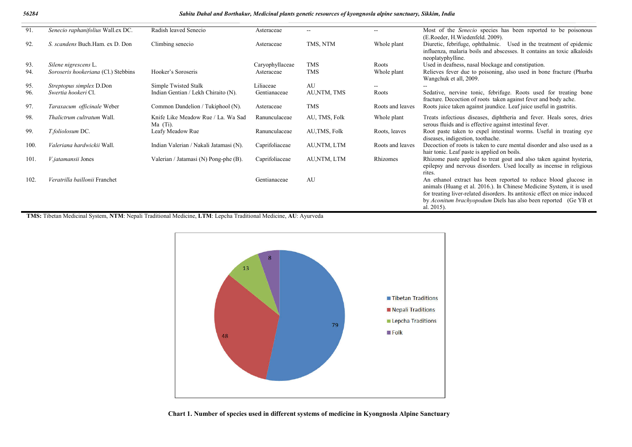#### *56284 Sabita Dahal and Borthakur, Medicinal plants genetic resources of kyongnosla alpine sanctuary, Sikkim, India*

| 91.  | Senecio raphanifolius Wall.ex DC.   | Radish leaved Senecio                            | Asteraceae      | $\sim$ $\sim$ | $\overline{a}$   | Most of the <i>Senecio</i> species has been reported to be poisonous<br>(E.Roeder, H.Wiedenfeld. 2009).                                                                                                                                                                                                |
|------|-------------------------------------|--------------------------------------------------|-----------------|---------------|------------------|--------------------------------------------------------------------------------------------------------------------------------------------------------------------------------------------------------------------------------------------------------------------------------------------------------|
| 92.  | S. scandens Buch.Ham. ex D. Don     | Climbing senecio                                 | Asteraceae      | TMS, NTM      | Whole plant      | Diuretic, febrifuge, ophthalmic. Used in the treatment of epidemic<br>influenza, malaria boils and abscesses. It contains an toxic alkaloids<br>neoplatyphylline.                                                                                                                                      |
| 93.  | Silene nigrescens L.                |                                                  | Caryophyllaceae | <b>TMS</b>    | Roots            | Used in deafness, nasal blockage and constipation.                                                                                                                                                                                                                                                     |
| 94.  | Soroseris hookeriana (Cl.) Stebbins | Hooker's Soroseris                               | Asteraceae      | <b>TMS</b>    | Whole plant      | Relieves fever due to poisoning, also used in bone fracture (Phurba<br>Wangchuk et all, 2009.                                                                                                                                                                                                          |
| 95.  | <i>Streptopus simplex D.Don</i>     | Simple Twisted Stalk                             | Liliaceae       | AU            | --               |                                                                                                                                                                                                                                                                                                        |
| 96.  | Swertia hookeri Cl.                 | Indian Gentian / Lekh Chiraito (N).              | Gentianaceae    | AU,NTM, TMS   | Roots            | Sedative, nervine tonic, febrifuge. Roots used for treating bone<br>fracture. Decoction of roots taken against fever and body ache.                                                                                                                                                                    |
| 97.  | Taraxacum officinale Weber          | Common Dandelion / Tukiphool (N).                | Asteraceae      | <b>TMS</b>    | Roots and leaves | Roots juice taken against jaundice. Leaf juice useful in gastritis.                                                                                                                                                                                                                                    |
| 98.  | Thalictrum cultratum Wall.          | Knife Like Meadow Rue / La. Wa Sad<br>$Ma$ (Ti). | Ranunculaceae   | AU, TMS, Folk | Whole plant      | Treats infectious diseases, diphtheria and fever. Heals sores, dries<br>serous fluids and is effective against intestinal fever.                                                                                                                                                                       |
| 99.  | T.foliolosum DC.                    | Leafy Meadow Rue                                 | Ranunculaceae   | AU, TMS, Folk | Roots, leaves    | Root paste taken to expel intestinal worms. Useful in treating eye<br>diseases, indigestion, toothache.                                                                                                                                                                                                |
| 100. | Valeriana hardwickii Wall.          | Indian Valerian / Nakali Jatamasi (N).           | Caprifoliaceae  | AU,NTM, LTM   | Roots and leaves | Decoction of roots is taken to cure mental disorder and also used as a<br>hair tonic. Leaf paste is applied on boils.                                                                                                                                                                                  |
| 101. | V.jatamansii Jones                  | Valerian / Jatamasi (N) Pong-phe (B).            | Caprifoliaceae  | AU,NTM, LTM   | Rhizomes         | Rhizome paste applied to treat gout and also taken against hysteria,<br>epilepsy and nervous disorders. Used locally as incense in religious<br>rites.                                                                                                                                                 |
| 102. | Veratrilla baillonii Franchet       |                                                  | Gentianaceae    | AU            |                  | An ethanol extract has been reported to reduce blood glucose in<br>animals (Huang et al. 2016.). In Chinese Medicine System, it is used<br>for treating liver-related disorders. Its antitoxic effect on mice induced<br>by Aconitum brachyopodum Diels has also been reported (Ge YB et<br>al. 2015). |

**TMS:** Tibetan Medicinal System, **NTM**: Nepali Traditional Medicine, **LTM**: Lepcha Traditional Medicine, **AU**: Ayurveda



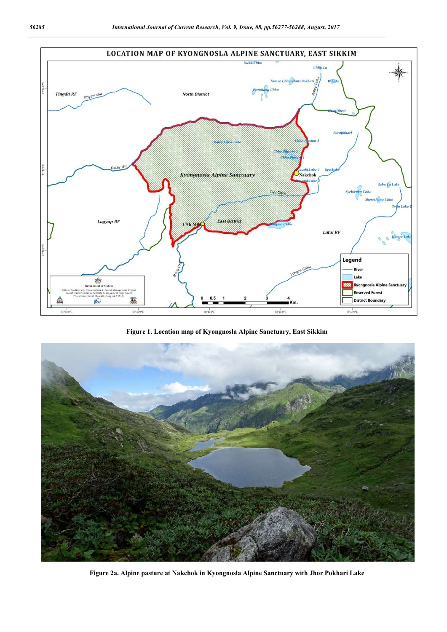

**Figure 1. Location map of Kyongnosla Alpine Sanctuary, East Sikkim**



**Figure 2a. Alpine pasture at Nakchok in Kyongnosla Alpine Sanctuary with Jhor Pokhari Lake**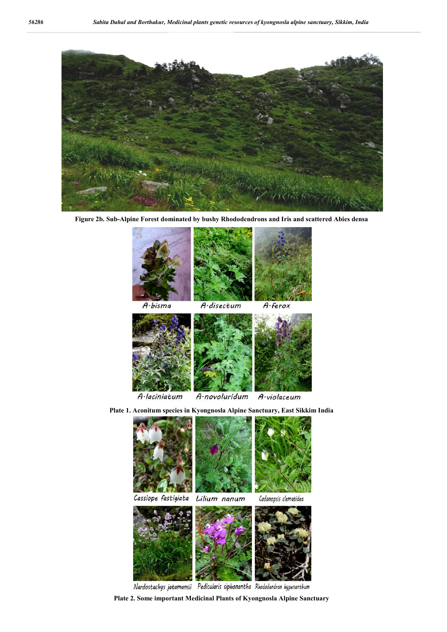

**Figure 2b. Sub-Alpine Forest dominated by bushy Rhododendrons and Iris and scattered Abies densa**









Nardostachys jatamansii Pedicularis siphonantha Rhododendron hypenanthum

**Plate 2. Some important Medicinal Plants of Kyongnosla Alpine Sanctuary**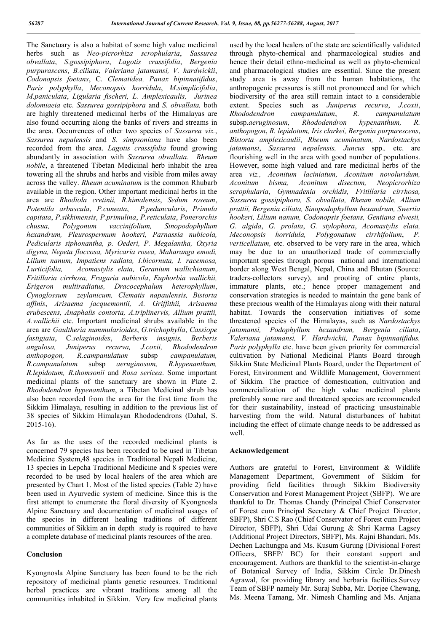The Sanctuary is also a habitat of some high value medicinal herbs such as *Neo-picrorhiza scrophularia*, *Sassurea obvallata*, *S*.*gossipiphora*, *Lagotis crassifolia*, *Bergenia purpurascens*, *B.ciliata*, *Valeriana jatamansi, V. hardwickii*, *Codonopsis foetans*, C. *Clematidea, Panax bipinnatifidus*, *Paris polyphylla*, *Meconopsis horridula*, *M.simplicifolia*, *M.paniculata*, *Ligularia fischeri, L. Amplexicaulis, Jurinea dolomiaeia* etc. *Sassurea gossipiphora* and *S. obvallata,* both are highly threatened medicinal herbs of the Himalayas are also found occurring along the banks of rivers and streams in the area. Occurrences of other two species of *Sassurea viz.*, *Sassurea nepalensis* and *S. simpsoniana* have also been recorded from the area. *Lagotis crassifolia* found growing abundantly in association with *Sassurea obvallata. Rheum nobile*, a threatened Tibetan Medicinal herb inhabit the area towering all the shrubs and herbs and visible from miles away across the valley. *Rheum acuminatum* is the common Rhubarb available in the region. Other important medicinal herbs in the area are *Rhodiola cretinii, R.himalensis*, *Sedum roseum*, *Potentila arbuscula*, *P.cuneata*, *P.peduncularis*, *Primula capitata*, *P.sikkimensis*, *P.primulina*, *P.reticulata*, *Ponerorchis chusua, Polygonum vaccinifolium, Sinopodophyllum hexandrum, Pleurospermum hookeri, Parnassia nubicola, Pedicularis siphonantha, p. Oederi, P. Megalantha, Oxyria digyna, Nepeta floccosa, Myricaria rosea, Maharanga emodi, Lilium nanum, Impatiens radiata, I.bicornuta, I. racemosa, I.urticifolia, Acomastylis elata, Geranium wallichianum*, *Fritillaria cirrhosa, Fragaria nubicola*, *Euphorbia wallichii, Erigeron multiradiatus, Dracocephalum heterophyllum*, *Cynoglossum zeylanicum, Clematis napaulensis, Bistorta affinis*, *Arisaema jacquemontii, A. Griffithii, Arisaema erubescens, Anaphalis contorta, A.triplinervis, Allium prattii, A.wallichii* etc. Important medicinal shrubs available in the area are *Gaultheria nummularioides*, *G.trichophylla*, *Cassiope fastigiata*, C.*selaginoides*, *Berberis insignis, Berberis angulosa, Juniperus recurva, J.coxii, Rhododendron anthopogon, R.campanulatum* subsp *campanulatum, R.campanulatum* subsp *aeruginosum, R.hypenanthum, R.lepidotum, R.thomsonii* and *Rosa sericea*. Some important medicinal plants of the sanctuary are shown in Plate 2. *Rhododendron hypenanthum*, a Tibetan Medicinal shrub has also been recorded from the area for the first time from the Sikkim Himalaya, resulting in addition to the previous list of 38 species of Sikkim Himalayan Rhododendrons (Dahal, S. 2015-16).

As far as the uses of the recorded medicinal plants is concerned 79 species has been recorded to be used in Tibetan Medicine System,48 species in Traditional Nepali Medicine, 13 species in Lepcha Traditional Medicine and 8 species were recorded to be used by local healers of the area which are presented by Chart 1. Most of the listed species (Table 2) have been used in Ayurvedic system of medicine. Since this is the first attempt to enumerate the floral diversity of Kyongnosla Alpine Sanctuary and documentation of medicinal usages of the species in different healing traditions of different communities of Sikkim an in depth study is required to have a complete database of medicinal plants resources of the area.

## **Conclusion**

Kyongnosla Alpine Sanctuary has been found to be the rich repository of medicinal plants genetic resources. Traditional herbal practices are vibrant traditions among all the communities inhabited in Sikkim. Very few medicinal plants

used by the local healers of the state are scientifically validated through phyto-chemical and pharmacological studies and hence their detail ethno-medicinal as well as phyto-chemical and pharmacological studies are essential. Since the present study area is away from the human habitations, the anthropogenic pressures is still not pronounced and for which biodiversity of the area still remain intact to a considerable extent. Species such as *Juniperus recurva*, *J.coxii*, *Rhododendron campanulatum*, *R. campanulatum* subsp.*aeruginosum, Rhododendron hypenanthum, R. anthopogon*, *R. lepidotum, Iris clarkei, Bergenia purpurescens*, *Bistorta amplexicaulii*, *Rheum acuminatum, Nardostachys jatamansi*, *Sassurea nepalensis, Juncus* spp.*,* etc. are flourishing well in the area with good number of populations. However, some high valued and rare medicinal herbs of the area *viz., Aconitum laciniatum, Aconitum novoluridum, Aconitum bisma, Aconitum disectum, Neopicrorhiza scrophularia*, *Gymnadenia orchidis, Fritillaria cirrhosa, Sassurea gossipiphora, S. obvallata, Rheum nobile, Allium prattii, Bergenia ciliata, Sinopodophyllum hexandrum, Swertia hookeri, Lilium nanum, Codonopsis foetans, Gentiana elwesii, G. algida*, *G. prolata*, *G. stylophora*, *Acomastylis elata, Meconopsis horridula, Polygonatum cirrhifolium*, *P. verticellatum,* etc. observed to be very rare in the area, which may be due to an unauthorized trade of commercially important species through porous national and international border along West Bengal, Nepal, China and Bhutan (Source: traders-collectors survey), and prooting of entire plants, immature plants, etc.; hence proper management and conservation strategies is needed to maintain the gene bank of these precious wealth of the Himalayas along with their natural habitat. Towards the conservation initiatives of some threatened species of the Himalayas, such as *Nardostachys jatamansi, Podophyllum hexandrum, Bergenia ciliata*, *Valeriana jatamansi, V. Hardwickii, Panax bipinnatifidus, Paris polyphylla* etc. have been given priority for commercial cultivation by National Medicinal Plants Board through Sikkim State Medicinal Plants Board, under the Department of Forest, Environment and Wildlife Management, Government of Sikkim. The practice of domestication, cultivation and commercialization of the high value medicinal plants preferably some rare and threatened species are recommended for their sustainability, instead of practicing unsustainable harvesting from the wild. Natural disturbances of habitat including the effect of climate change needs to be addressed as well.

#### **Acknowledgement**

Authors are grateful to Forest, Environment & Wildlife Management Department, Government of Sikkim for providing field facilities through Sikkim Biodiversity Conservation and Forest Management Project (SBFP). We are thankful to Dr. Thomas Chandy (Principal Chief Conservator of Forest cum Principal Secretary & Chief Project Director, SBFP), Shri C.S Rao (Chief Conservator of Forest cum Project Director, SBFP), Shri Udai Gurung & Shri Karma Lagsey (Additional Project Directors, SBFP), Ms. Rajni Bhandari, Ms. Dechen Lachungpa and Ms. Kusum Gurung (Divisional Forest Officers, SBFP/ BC) for their constant support and encouragement. Authors are thankful to the scientist-in-charge of Botanical Survey of India, Sikkim Circle Dr.Dinesh Agrawal, for providing library and herbaria facilities.Survey Team of SBFP namely Mr. Suraj Subba, Mr. Dorjee Chewang, Ms. Meena Tamang, Mr. Nimesh Chamling and Ms. Anjana